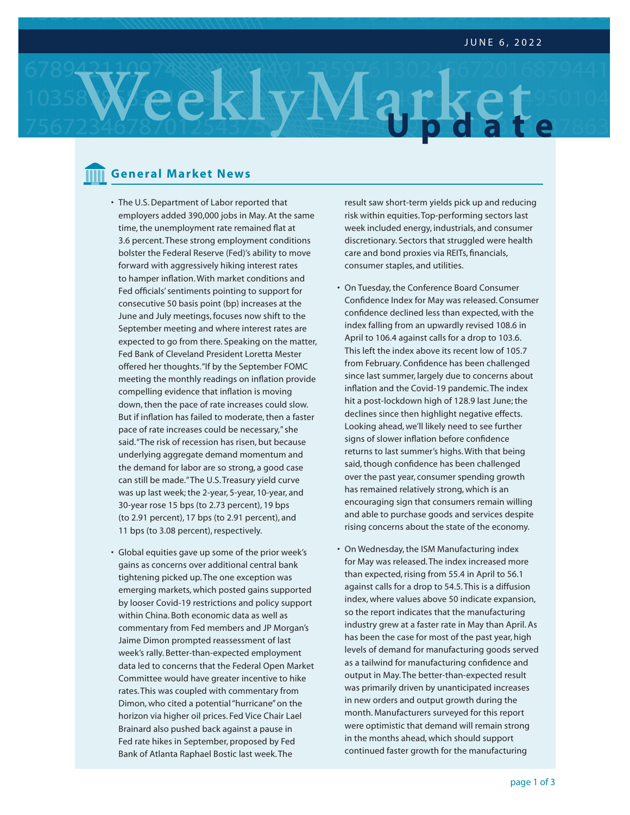# **WeeklyMarket Update**

# **General Market News**

- **•** The U.S. Department of Labor reported that employers added 390,000 jobs in May. At the same time, the unemployment rate remained flat at 3.6 percent. These strong employment conditions bolster the Federal Reserve (Fed)'s ability to move forward with aggressively hiking interest rates to hamper inflation. With market conditions and Fed officials' sentiments pointing to support for consecutive 50 basis point (bp) increases at the June and July meetings, focuses now shift to the September meeting and where interest rates are expected to go from there. Speaking on the matter, Fed Bank of Cleveland President Loretta Mester offered her thoughts. "If by the September FOMC meeting the monthly readings on inflation provide compelling evidence that inflation is moving down, then the pace of rate increases could slow. But if inflation has failed to moderate, then a faster pace of rate increases could be necessary," she said. "The risk of recession has risen, but because underlying aggregate demand momentum and the demand for labor are so strong, a good case can still be made." The U.S. Treasury yield curve was up last week; the 2-year, 5-year, 10-year, and 30-year rose 15 bps (to 2.73 percent), 19 bps (to 2.91 percent), 17 bps (to 2.91 percent), and 11 bps (to 3.08 percent), respectively.
- Global equities gave up some of the prior week's gains as concerns over additional central bank tightening picked up. The one exception was emerging markets, which posted gains supported by looser Covid-19 restrictions and policy support within China. Both economic data as well as commentary from Fed members and JP Morgan's Jaime Dimon prompted reassessment of last week's rally. Better-than-expected employment data led to concerns that the Federal Open Market Committee would have greater incentive to hike rates. This was coupled with commentary from Dimon, who cited a potential "hurricane" on the horizon via higher oil prices. Fed Vice Chair Lael Brainard also pushed back against a pause in Fed rate hikes in September, proposed by Fed Bank of Atlanta Raphael Bostic last week. The

result saw short-term yields pick up and reducing risk within equities. Top-performing sectors last week included energy, industrials, and consumer discretionary. Sectors that struggled were health care and bond proxies via REITs, financials, consumer staples, and utilities.

- On Tuesday, the Conference Board Consumer Confidence Index for May was released. Consumer confidence declined less than expected, with the index falling from an upwardly revised 108.6 in April to 106.4 against calls for a drop to 103.6. This left the index above its recent low of 105.7 from February. Confidence has been challenged since last summer, largely due to concerns about inflation and the Covid-19 pandemic. The index hit a post-lockdown high of 128.9 last June; the declines since then highlight negative effects. Looking ahead, we'll likely need to see further signs of slower inflation before confidence returns to last summer's highs. With that being said, though confidence has been challenged over the past year, consumer spending growth has remained relatively strong, which is an encouraging sign that consumers remain willing and able to purchase goods and services despite rising concerns about the state of the economy.
- On Wednesday, the ISM Manufacturing index for May was released. The index increased more than expected, rising from 55.4 in April to 56.1 against calls for a drop to 54.5. This is a diffusion index, where values above 50 indicate expansion, so the report indicates that the manufacturing industry grew at a faster rate in May than April. As has been the case for most of the past year, high levels of demand for manufacturing goods served as a tailwind for manufacturing confidence and output in May. The better-than-expected result was primarily driven by unanticipated increases in new orders and output growth during the month. Manufacturers surveyed for this report were optimistic that demand will remain strong in the months ahead, which should support continued faster growth for the manufacturing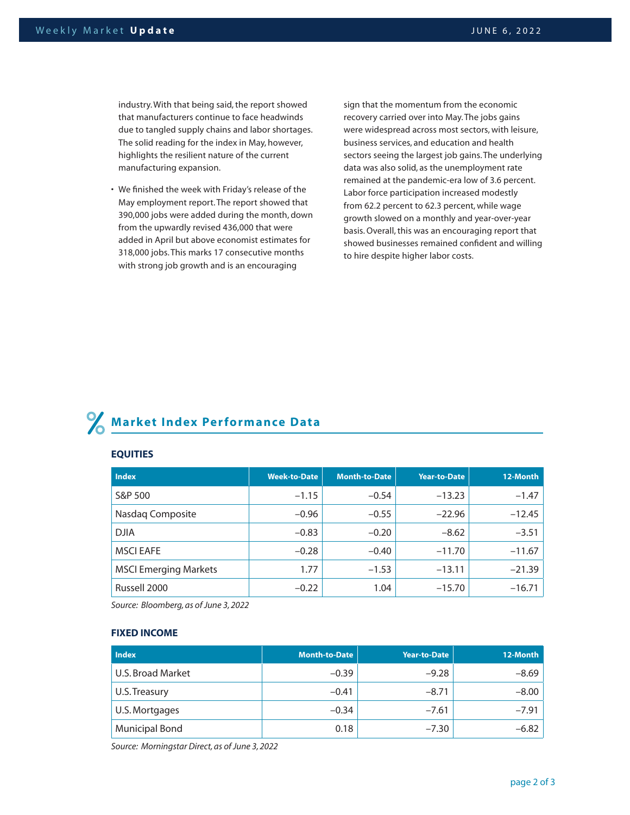industry. With that being said, the report showed that manufacturers continue to face headwinds due to tangled supply chains and labor shortages. The solid reading for the index in May, however, highlights the resilient nature of the current manufacturing expansion.

• We finished the week with Friday's release of the May employment report. The report showed that 390,000 jobs were added during the month, down from the upwardly revised 436,000 that were added in April but above economist estimates for 318,000 jobs. This marks 17 consecutive months with strong job growth and is an encouraging

sign that the momentum from the economic recovery carried over into May. The jobs gains were widespread across most sectors, with leisure, business services, and education and health sectors seeing the largest job gains. The underlying data was also solid, as the unemployment rate remained at the pandemic-era low of 3.6 percent. Labor force participation increased modestly from 62.2 percent to 62.3 percent, while wage growth slowed on a monthly and year-over-year basis. Overall, this was an encouraging report that showed businesses remained confident and willing to hire despite higher labor costs.

# **Market Index Performance Data**

### **EQUITIES**

| <b>Index</b>                 | <b>Week-to-Date</b> | <b>Month-to-Date</b> | Year-to-Date | 12-Month |
|------------------------------|---------------------|----------------------|--------------|----------|
| S&P 500                      | $-1.15$             | $-0.54$              | $-13.23$     | $-1.47$  |
| Nasdaq Composite             | $-0.96$             | $-0.55$              | $-22.96$     | $-12.45$ |
| <b>DJIA</b>                  | $-0.83$             | $-0.20$              | $-8.62$      | $-3.51$  |
| <b>MSCI EAFE</b>             | $-0.28$             | $-0.40$              | $-11.70$     | $-11.67$ |
| <b>MSCI Emerging Markets</b> | 1.77                | $-1.53$              | $-13.11$     | $-21.39$ |
| Russell 2000                 | $-0.22$             | 1.04                 | $-15.70$     | $-16.71$ |

*Source: Bloomberg, as of June 3, 2022*

### **FIXED INCOME**

| <b>Index</b>             | <b>Month-to-Date</b> | Year-to-Date | 12-Month |
|--------------------------|----------------------|--------------|----------|
| <b>U.S. Broad Market</b> | $-0.39$              | $-9.28$      | $-8.69$  |
| U.S. Treasury            | $-0.41$              | $-8.71$      | $-8.00$  |
| U.S. Mortgages           | $-0.34$              | $-7.61$      | $-7.91$  |
| <b>Municipal Bond</b>    | 0.18                 | $-7.30$      | $-6.82$  |

*Source: Morningstar Direct, as of June 3, 2022*